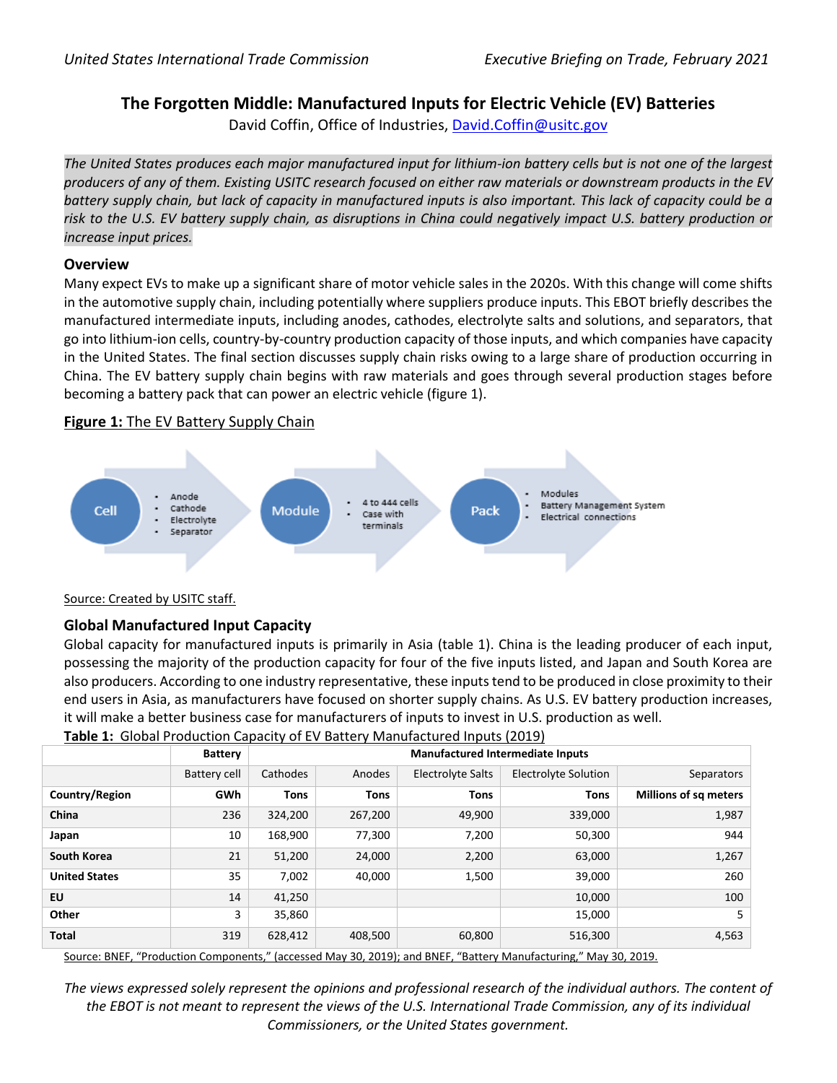# **The Forgotten Middle: Manufactured Inputs for Electric Vehicle (EV) Batteries**

David Coffin, Office of Industries, [David.Coffin@usitc.gov](mailto:David.Coffin@usitc.gov)

*The United States produces each major manufactured input for lithium-ion battery cells but is not one of the largest producers of any of them. Existing USITC research focused on either raw materials or downstream products in the EV battery supply chain, but lack of capacity in manufactured inputs is also important. This lack of capacity could be a risk to the U.S. EV battery supply chain, as disruptions in China could negatively impact U.S. battery production or increase input prices.*

### **Overview**

Many expect EVs to make up a significant share of motor vehicle sales in the 2020s. With this change will come shifts in the automotive supply chain, including potentially where suppliers produce inputs. This EBOT briefly describes the manufactured intermediate inputs, including anodes, cathodes, electrolyte salts and solutions, and separators, that go into lithium-ion cells, country-by-country production capacity of those inputs, and which companies have capacity in the United States. The final section discusses supply chain risks owing to a large share of production occurring in China. The EV battery supply chain begins with raw materials and goes through several production stages before becoming a battery pack that can power an electric vehicle (figure 1).

### **Figure 1:** The EV Battery Supply Chain



#### Source: Created by USITC staff.

# **Global Manufactured Input Capacity**

Global capacity for manufactured inputs is primarily in Asia (table 1). China is the leading producer of each input, possessing the majority of the production capacity for four of the five inputs listed, and Japan and South Korea are also producers. According to one industry representative, these inputs tend to be produced in close proximity to their end users in Asia, as manufacturers have focused on shorter supply chains. As U.S. EV battery production increases, it will make a better business case for manufacturers of inputs to invest in U.S. production as well.

### **Table 1:** Global Production Capacity of EV Battery Manufactured Inputs (2019)

|                      | <b>Battery</b> | <b>Manufactured Intermediate Inputs</b> |             |                          |                      |                              |
|----------------------|----------------|-----------------------------------------|-------------|--------------------------|----------------------|------------------------------|
|                      | Battery cell   | Cathodes                                | Anodes      | <b>Electrolyte Salts</b> | Electrolyte Solution | Separators                   |
| Country/Region       | <b>GWh</b>     | <b>Tons</b>                             | <b>Tons</b> | <b>Tons</b>              | <b>Tons</b>          | <b>Millions of sq meters</b> |
| China                | 236            | 324,200                                 | 267,200     | 49,900                   | 339,000              | 1,987                        |
| Japan                | 10             | 168,900                                 | 77,300      | 7,200                    | 50,300               | 944                          |
| South Korea          | 21             | 51,200                                  | 24,000      | 2,200                    | 63,000               | 1,267                        |
| <b>United States</b> | 35             | 7,002                                   | 40,000      | 1,500                    | 39,000               | 260                          |
| EU                   | 14             | 41,250                                  |             |                          | 10,000               | 100                          |
| Other                | 3              | 35,860                                  |             |                          | 15,000               | 5                            |
| <b>Total</b>         | 319            | 628,412                                 | 408,500     | 60,800                   | 516,300              | 4,563                        |

Source: BNEF, "Production Components," (accessed May 30, 2019); and BNEF, "Battery Manufacturing," May 30, 2019.

*The views expressed solely represent the opinions and professional research of the individual authors. The content of the EBOT is not meant to represent the views of the U.S. International Trade Commission, any of its individual Commissioners, or the United States government.*